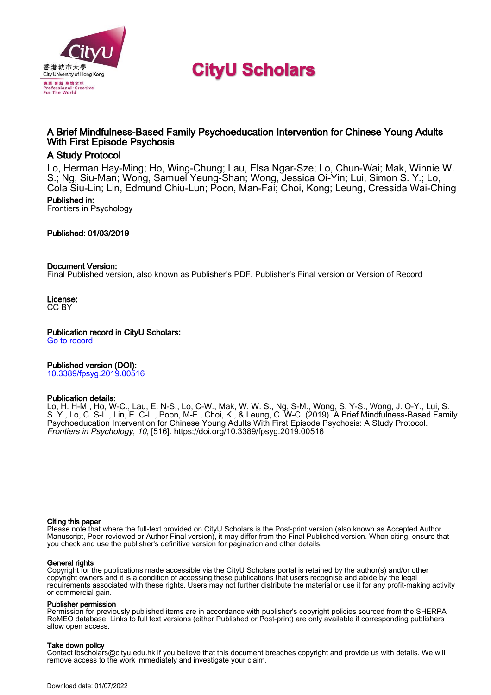

**CityU Scholars** 

# A Brief Mindfulness-Based Family Psychoeducation Intervention for Chinese Young Adults With First Episode Psychosis

# A Study Protocol

Lo, Herman Hay-Ming; Ho, Wing-Chung; Lau, Elsa Ngar-Sze; Lo, Chun-Wai; Mak, Winnie W. S.; Ng, Siu-Man; Wong, Samuel Yeung-Shan; Wong, Jessica Oi-Yin; Lui, Simon S. Y.; Lo, Cola Siu-Lin; Lin, Edmund Chiu-Lun; Poon, Man-Fai; Choi, Kong; Leung, Cressida Wai-Ching

### Published in:

Frontiers in Psychology

### Published: 01/03/2019

### Document Version:

Final Published version, also known as Publisher's PDF, Publisher's Final version or Version of Record

License: CC BY

Publication record in CityU Scholars:

[Go to record](https://scholars.cityu.edu.hk/en/publications/a-brief-mindfulnessbased-family-psychoeducation-intervention-for-chinese-young-adults-with-first-episode-psychosis(50f2bc65-f6f9-4280-895d-34569ce2e0d6).html)

### Published version (DOI):

[10.3389/fpsyg.2019.00516](https://doi.org/10.3389/fpsyg.2019.00516)

### Publication details:

Lo, H. H-M[., Ho, W-C.,](https://scholars.cityu.edu.hk/en/persons/wing-chung-ho(2fd22123-70bf-419a-9ca6-162476436833).html) Lau, E. N-S., Lo, C-W., Mak, W. W. S., Ng, S-M., Wong, S. Y-S., Wong, J. O-Y., Lui, S. S. Y., Lo, C. S-L., Lin, E. C-L., Poon, M-F., Choi, K., & Leung, C. W-C. (2019). [A Brief Mindfulness-Based Family](https://scholars.cityu.edu.hk/en/publications/a-brief-mindfulnessbased-family-psychoeducation-intervention-for-chinese-young-adults-with-first-episode-psychosis(50f2bc65-f6f9-4280-895d-34569ce2e0d6).html) [Psychoeducation Intervention for Chinese Young Adults With First Episode Psychosis: A Study Protocol.](https://scholars.cityu.edu.hk/en/publications/a-brief-mindfulnessbased-family-psychoeducation-intervention-for-chinese-young-adults-with-first-episode-psychosis(50f2bc65-f6f9-4280-895d-34569ce2e0d6).html) [Frontiers in Psychology](https://scholars.cityu.edu.hk/en/journals/frontiers-in-psychology(15b2fdfd-5ce5-405a-ab79-75e136d29d8c)/publications.html), 10, [516]. <https://doi.org/10.3389/fpsyg.2019.00516>

#### Citing this paper

Please note that where the full-text provided on CityU Scholars is the Post-print version (also known as Accepted Author Manuscript, Peer-reviewed or Author Final version), it may differ from the Final Published version. When citing, ensure that you check and use the publisher's definitive version for pagination and other details.

#### General rights

Copyright for the publications made accessible via the CityU Scholars portal is retained by the author(s) and/or other copyright owners and it is a condition of accessing these publications that users recognise and abide by the legal requirements associated with these rights. Users may not further distribute the material or use it for any profit-making activity or commercial gain.

#### Publisher permission

Permission for previously published items are in accordance with publisher's copyright policies sourced from the SHERPA RoMEO database. Links to full text versions (either Published or Post-print) are only available if corresponding publishers allow open access.

#### Take down policy

Contact lbscholars@cityu.edu.hk if you believe that this document breaches copyright and provide us with details. We will remove access to the work immediately and investigate your claim.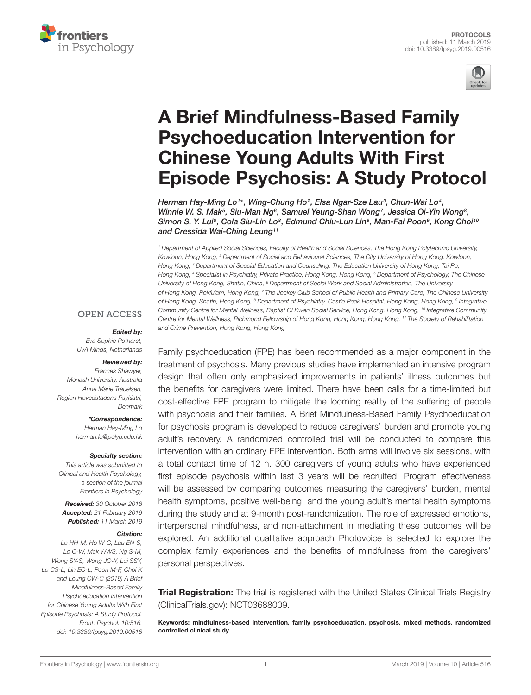



# A Brief Mindfulness-Based Family Psychoeducation Intervention for Chinese Young Adults With First [Episode Psychosis: A Study Protocol](https://www.frontiersin.org/articles/10.3389/fpsyg.2019.00516/full)

[Herman Hay-Ming Lo](http://loop.frontiersin.org/people/635757/overview)1\*, Wing-Chung Ho<sup>2</sup>, Elsa Ngar-Sze Lau<sup>3</sup>, Chun-Wai Lo4, Winnie W. S. Mak§, Siu-Man Ng6, [Samuel Yeung-Shan Wong](http://loop.frontiersin.org/people/164135/overview)<sup>7</sup>, Jessica Oi-Yin Wong8, [Simon S. Y. Lui](http://loop.frontiersin.org/people/239220/overview)<sup>s</sup>, Cola Siu-Lin Lo<sup>s</sup>, Edmund Chiu-Lun Lin<sup>s</sup>, [Man-Fai Poon](http://loop.frontiersin.org/people/689151/overview)<sup>s</sup>, Kong Choi<sup>10</sup> and Cressida Wai-Ching Leung<sup>11</sup>

<sup>1</sup> Department of Applied Social Sciences, Faculty of Health and Social Sciences, The Hong Kong Polytechnic University, Kowloon, Hong Kong, <sup>2</sup> Department of Social and Behavioural Sciences, The City University of Hong Kong, Kowloon, Hong Kong, <sup>3</sup> Department of Special Education and Counselling, The Education University of Hong Kong, Tai Po, Hong Kong, <sup>4</sup> Specialist in Psychiatry, Private Practice, Hong Kong, Hong Kong, <sup>5</sup> Department of Psychology, The Chinese University of Hong Kong, Shatin, China, <sup>6</sup> Department of Social Work and Social Administration, The University of Hong Kong, Pokfulam, Hong Kong, <sup>7</sup> The Jockey Club School of Public Health and Primary Care, The Chinese University of Hong Kong, Shatin, Hong Kong, <sup>8</sup> Department of Psychiatry, Castle Peak Hospital, Hong Kong, Hong Kong, <sup>9</sup> Integrative Community Centre for Mental Wellness, Baptist Oi Kwan Social Service, Hong Kong, Hong Kong, <sup>10</sup> Integrative Community Centre for Mental Wellness, Richmond Fellowship of Hong Kong, Hong Kong, Hong Kong, <sup>11</sup> The Society of Rehabilitation and Crime Prevention, Hong Kong, Hong Kong

# **OPEN ACCESS**

#### Edited by:

Eva Sophie Potharst, UvA Minds, Netherlands

#### Reviewed by:

Frances Shawyer, Monash University, Australia Anne Marie Trauelsen, Region Hovedstadens Psykiatri, Denmark

> \*Correspondence: Herman Hay-Ming Lo herman.lo@polyu.edu.hk

#### Specialty section:

This article was submitted to Clinical and Health Psychology, a section of the journal Frontiers in Psychology

Received: 30 October 2018 Accepted: 21 February 2019 Published: 11 March 2019

#### Citation:

Lo HH-M, Ho W-C, Lau EN-S, Lo C-W, Mak WWS, Ng S-M, Wong SY-S, Wong JO-Y, Lui SSY, Lo CS-L, Lin EC-L, Poon M-F, Choi K and Leung CW-C (2019) A Brief Mindfulness-Based Family Psychoeducation Intervention for Chinese Young Adults With First Episode Psychosis: A Study Protocol. Front. Psychol. 10:516. doi: [10.3389/fpsyg.2019.00516](https://doi.org/10.3389/fpsyg.2019.00516) Family psychoeducation (FPE) has been recommended as a major component in the treatment of psychosis. Many previous studies have implemented an intensive program design that often only emphasized improvements in patients' illness outcomes but the benefits for caregivers were limited. There have been calls for a time-limited but cost-effective FPE program to mitigate the looming reality of the suffering of people with psychosis and their families. A Brief Mindfulness-Based Family Psychoeducation for psychosis program is developed to reduce caregivers' burden and promote young adult's recovery. A randomized controlled trial will be conducted to compare this intervention with an ordinary FPE intervention. Both arms will involve six sessions, with a total contact time of 12 h. 300 caregivers of young adults who have experienced first episode psychosis within last 3 years will be recruited. Program effectiveness will be assessed by comparing outcomes measuring the caregivers' burden, mental health symptoms, positive well-being, and the young adult's mental health symptoms during the study and at 9-month post-randomization. The role of expressed emotions, interpersonal mindfulness, and non-attachment in mediating these outcomes will be explored. An additional qualitative approach Photovoice is selected to explore the complex family experiences and the benefits of mindfulness from the caregivers' personal perspectives.

**Trial Registration:** The trial is registered with the United States Clinical Trials Registry [\(ClinicalTrials.gov\)](https://clinicaltrials.gov): NCT03688009.

Keywords: mindfulness-based intervention, family psychoeducation, psychosis, mixed methods, randomized controlled clinical study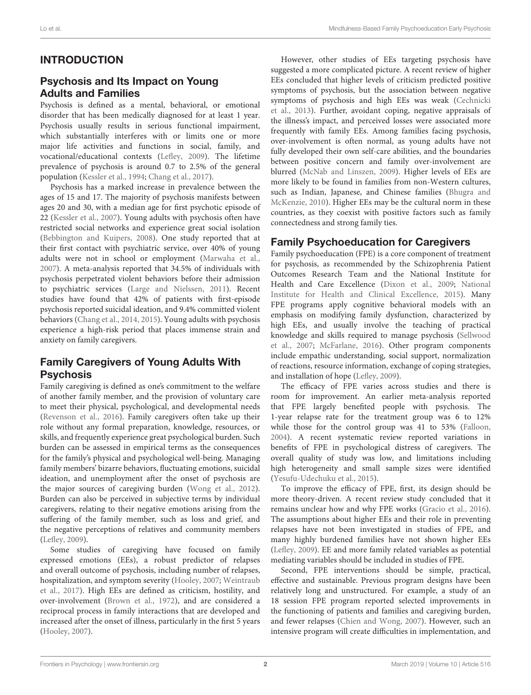# INTRODUCTION

# Psychosis and Its Impact on Young Adults and Families

Psychosis is defined as a mental, behavioral, or emotional disorder that has been medically diagnosed for at least 1 year. Psychosis usually results in serious functional impairment, which substantially interferes with or limits one or more major life activities and functions in social, family, and vocational/educational contexts [\(Lefley,](#page-12-0) [2009\)](#page-12-0). The lifetime prevalence of psychosis is around 0.7 to 2.5% of the general population [\(Kessler et al.,](#page-12-1) [1994;](#page-12-1) [Chang et al.,](#page-11-0) [2017\)](#page-11-0).

Psychosis has a marked increase in prevalence between the ages of 15 and 17. The majority of psychosis manifests between ages 20 and 30, with a median age for first psychotic episode of 22 [\(Kessler et al.,](#page-12-2) [2007\)](#page-12-2). Young adults with psychosis often have restricted social networks and experience great social isolation [\(Bebbington and Kuipers,](#page-11-1) [2008\)](#page-11-1). One study reported that at their first contact with psychiatric service, over 40% of young adults were not in school or employment [\(Marwaha et al.,](#page-12-3) [2007\)](#page-12-3). A meta-analysis reported that 34.5% of individuals with psychosis perpetrated violent behaviors before their admission to psychiatric services [\(Large and Nielssen,](#page-12-4) [2011\)](#page-12-4). Recent studies have found that 42% of patients with first-episode psychosis reported suicidal ideation, and 9.4% committed violent behaviors [\(Chang et al.,](#page-11-2) [2014,](#page-11-2) [2015\)](#page-11-3). Young adults with psychosis experience a high-risk period that places immense strain and anxiety on family caregivers.

# Family Caregivers of Young Adults With **Psychosis**

Family caregiving is defined as one's commitment to the welfare of another family member, and the provision of voluntary care to meet their physical, psychological, and developmental needs [\(Revenson et al.,](#page-12-5) [2016\)](#page-12-5). Family caregivers often take up their role without any formal preparation, knowledge, resources, or skills, and frequently experience great psychological burden. Such burden can be assessed in empirical terms as the consequences for the family's physical and psychological well-being. Managing family members' bizarre behaviors, fluctuating emotions, suicidal ideation, and unemployment after the onset of psychosis are the major sources of caregiving burden [\(Wong et al.,](#page-13-0) [2012\)](#page-13-0). Burden can also be perceived in subjective terms by individual caregivers, relating to their negative emotions arising from the suffering of the family member, such as loss and grief, and the negative perceptions of relatives and community members [\(Lefley,](#page-12-0) [2009\)](#page-12-0).

Some studies of caregiving have focused on family expressed emotions (EEs), a robust predictor of relapses and overall outcome of psychosis, including number of relapses, hospitalization, and symptom severity [\(Hooley,](#page-12-6) [2007;](#page-12-6) [Weintraub](#page-13-1) [et al.,](#page-13-1) [2017\)](#page-13-1). High EEs are defined as criticism, hostility, and over-involvement [\(Brown et al.,](#page-11-4) [1972\)](#page-11-4), and are considered a reciprocal process in family interactions that are developed and increased after the onset of illness, particularly in the first 5 years [\(Hooley,](#page-12-6) [2007\)](#page-12-6).

However, other studies of EEs targeting psychosis have suggested a more complicated picture. A recent review of higher EEs concluded that higher levels of criticism predicted positive symptoms of psychosis, but the association between negative symptoms of psychosis and high EEs was weak [\(Cechnicki](#page-11-5) [et al.,](#page-11-5) [2013\)](#page-11-5). Further, avoidant coping, negative appraisals of the illness's impact, and perceived losses were associated more frequently with family EEs. Among families facing psychosis, over-involvement is often normal, as young adults have not fully developed their own self-care abilities, and the boundaries between positive concern and family over-involvement are blurred [\(McNab and Linszen,](#page-12-7) [2009\)](#page-12-7). Higher levels of EEs are more likely to be found in families from non-Western cultures, such as Indian, Japanese, and Chinese families [\(Bhugra and](#page-11-6) [McKenzie,](#page-11-6) [2010\)](#page-11-6). Higher EEs may be the cultural norm in these countries, as they coexist with positive factors such as family connectedness and strong family ties.

# Family Psychoeducation for Caregivers

Family psychoeducation (FPE) is a core component of treatment for psychosis, as recommended by the Schizophrenia Patient Outcomes Research Team and the National Institute for Health and Care Excellence [\(Dixon et al.,](#page-11-7) [2009;](#page-11-7) [National](#page-12-8) [Institute for Health and Clinical Excellence,](#page-12-8) [2015\)](#page-12-8). Many FPE programs apply cognitive behavioral models with an emphasis on modifying family dysfunction, characterized by high EEs, and usually involve the teaching of practical knowledge and skills required to manage psychosis [\(Sellwood](#page-13-2) [et al.,](#page-13-2) [2007;](#page-13-2) [McFarlane,](#page-12-9) [2016\)](#page-12-9). Other program components include empathic understanding, social support, normalization of reactions, resource information, exchange of coping strategies, and installation of hope [\(Lefley,](#page-12-0) [2009\)](#page-12-0).

The efficacy of FPE varies across studies and there is room for improvement. An earlier meta-analysis reported that FPE largely benefited people with psychosis. The 1-year relapse rate for the treatment group was 6 to 12% while those for the control group was 41 to 53% [\(Falloon,](#page-12-10) [2004\)](#page-12-10). A recent systematic review reported variations in benefits of FPE in psychological distress of caregivers. The overall quality of study was low, and limitations including high heterogeneity and small sample sizes were identified [\(Yesufu-Udechuku et al.,](#page-13-3) [2015\)](#page-13-3).

To improve the efficacy of FPE, first, its design should be more theory-driven. A recent review study concluded that it remains unclear how and why FPE works [\(Gracio et al.,](#page-12-11) [2016\)](#page-12-11). The assumptions about higher EEs and their role in preventing relapses have not been investigated in studies of FPE, and many highly burdened families have not shown higher EEs [\(Lefley,](#page-12-0) [2009\)](#page-12-0). EE and more family related variables as potential mediating variables should be included in studies of FPE.

Second, FPE interventions should be simple, practical, effective and sustainable. Previous program designs have been relatively long and unstructured. For example, a study of an 18 session FPE program reported selected improvements in the functioning of patients and families and caregiving burden, and fewer relapses [\(Chien and Wong,](#page-11-8) [2007\)](#page-11-8). However, such an intensive program will create difficulties in implementation, and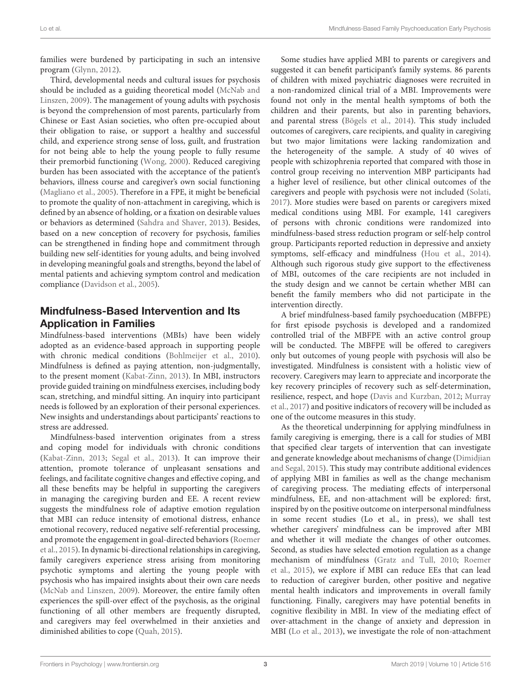families were burdened by participating in such an intensive program [\(Glynn,](#page-12-12) [2012\)](#page-12-12).

Third, developmental needs and cultural issues for psychosis should be included as a guiding theoretical model [\(McNab and](#page-12-7) [Linszen,](#page-12-7) [2009\)](#page-12-7). The management of young adults with psychosis is beyond the comprehension of most parents, particularly from Chinese or East Asian societies, who often pre-occupied about their obligation to raise, or support a healthy and successful child, and experience strong sense of loss, guilt, and frustration for not being able to help the young people to fully resume their premorbid functioning [\(Wong,](#page-13-4) [2000\)](#page-13-4). Reduced caregiving burden has been associated with the acceptance of the patient's behaviors, illness course and caregiver's own social functioning [\(Magliano et al.,](#page-12-13) [2005\)](#page-12-13). Therefore in a FPE, it might be beneficial to promote the quality of non-attachment in caregiving, which is defined by an absence of holding, or a fixation on desirable values or behaviors as determined [\(Sahdra and Shaver,](#page-13-5) [2013\)](#page-13-5). Besides, based on a new conception of recovery for psychosis, families can be strengthened in finding hope and commitment through building new self-identities for young adults, and being involved in developing meaningful goals and strengths, beyond the label of mental patients and achieving symptom control and medication compliance [\(Davidson et al.,](#page-11-9) [2005\)](#page-11-9).

# Mindfulness-Based Intervention and Its Application in Families

Mindfulness-based interventions (MBIs) have been widely adopted as an evidence-based approach in supporting people with chronic medical conditions [\(Bohlmeijer et al.,](#page-11-10) [2010\)](#page-11-10). Mindfulness is defined as paying attention, non-judgmentally, to the present moment [\(Kabat-Zinn,](#page-12-14) [2013\)](#page-12-14). In MBI, instructors provide guided training on mindfulness exercises, including body scan, stretching, and mindful sitting. An inquiry into participant needs is followed by an exploration of their personal experiences. New insights and understandings about participants' reactions to stress are addressed.

Mindfulness-based intervention originates from a stress and coping model for individuals with chronic conditions [\(Kabat-Zinn,](#page-12-14) [2013;](#page-12-14) [Segal et al.,](#page-13-6) [2013\)](#page-13-6). It can improve their attention, promote tolerance of unpleasant sensations and feelings, and facilitate cognitive changes and effective coping, and all these benefits may be helpful in supporting the caregivers in managing the caregiving burden and EE. A recent review suggests the mindfulness role of adaptive emotion regulation that MBI can reduce intensity of emotional distress, enhance emotional recovery, reduced negative self-referential processing, and promote the engagement in goal-directed behaviors [\(Roemer](#page-13-7) [et al.,](#page-13-7) [2015\)](#page-13-7). In dynamic bi-directional relationships in caregiving, family caregivers experience stress arising from monitoring psychotic symptoms and alerting the young people with psychosis who has impaired insights about their own care needs [\(McNab and Linszen,](#page-12-7) [2009\)](#page-12-7). Moreover, the entire family often experiences the spill-over effect of the psychosis, as the original functioning of all other members are frequently disrupted, and caregivers may feel overwhelmed in their anxieties and diminished abilities to cope [\(Quah,](#page-12-15) [2015\)](#page-12-15).

Some studies have applied MBI to parents or caregivers and suggested it can benefit participant's family systems. 86 parents of children with mixed psychiatric diagnoses were recruited in a non-randomized clinical trial of a MBI. Improvements were found not only in the mental health symptoms of both the children and their parents, but also in parenting behaviors, and parental stress [\(Bögels et al.,](#page-11-11) [2014\)](#page-11-11). This study included outcomes of caregivers, care recipients, and quality in caregiving but two major limitations were lacking randomization and the heterogeneity of the sample. A study of 40 wives of people with schizophrenia reported that compared with those in control group receiving no intervention MBP participants had a higher level of resilience, but other clinical outcomes of the caregivers and people with psychosis were not included [\(Solati,](#page-13-8) [2017\)](#page-13-8). More studies were based on parents or caregivers mixed medical conditions using MBI. For example, 141 caregivers of persons with chronic conditions were randomized into mindfulness-based stress reduction program or self-help control group. Participants reported reduction in depressive and anxiety symptoms, self-efficacy and mindfulness [\(Hou et al.,](#page-12-16) [2014\)](#page-12-16). Although such rigorous study give support to the effectiveness of MBI, outcomes of the care recipients are not included in the study design and we cannot be certain whether MBI can benefit the family members who did not participate in the intervention directly.

A brief mindfulness-based family psychoeducation (MBFPE) for first episode psychosis is developed and a randomized controlled trial of the MBFPE with an active control group will be conducted. The MBFPE will be offered to caregivers only but outcomes of young people with psychosis will also be investigated. Mindfulness is consistent with a holistic view of recovery. Caregivers may learn to appreciate and incorporate the key recovery principles of recovery such as self-determination, resilience, respect, and hope [\(Davis and Kurzban,](#page-11-12) [2012;](#page-11-12) [Murray](#page-12-17) [et al.,](#page-12-17) [2017\)](#page-12-17) and positive indicators of recovery will be included as one of the outcome measures in this study.

As the theoretical underpinning for applying mindfulness in family caregiving is emerging, there is a call for studies of MBI that specified clear targets of intervention that can investigate and generate knowledge about mechanisms of change [\(Dimidjian](#page-11-13) [and Segal,](#page-11-13) [2015\)](#page-11-13). This study may contribute additional evidences of applying MBI in families as well as the change mechanism of caregiving process. The mediating effects of interpersonal mindfulness, EE, and non-attachment will be explored: first, inspired by on the positive outcome on interpersonal mindfulness in some recent studies (Lo et al., in press), we shall test whether caregivers' mindfulness can be improved after MBI and whether it will mediate the changes of other outcomes. Second, as studies have selected emotion regulation as a change mechanism of mindfulness [\(Gratz and Tull,](#page-12-18) [2010;](#page-12-18) [Roemer](#page-13-7) [et al.,](#page-13-7) [2015\)](#page-13-7), we explore if MBI can reduce EEs that can lead to reduction of caregiver burden, other positive and negative mental health indicators and improvements in overall family functioning. Finally, caregivers may have potential benefits in cognitive flexibility in MBI. In view of the mediating effect of over-attachment in the change of anxiety and depression in MBI [\(Lo et al.,](#page-12-19) [2013\)](#page-12-19), we investigate the role of non-attachment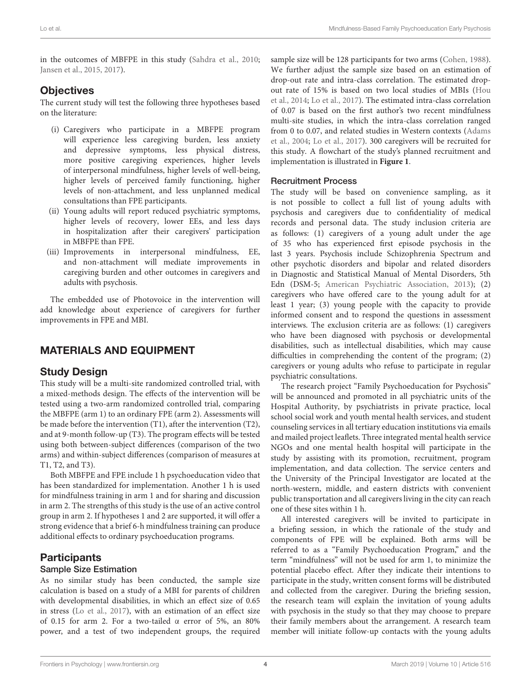in the outcomes of MBFPE in this study [\(Sahdra et al.,](#page-13-9) [2010;](#page-13-9) [Jansen et al.,](#page-12-20) [2015,](#page-12-20) [2017\)](#page-12-21).

# **Objectives**

The current study will test the following three hypotheses based on the literature:

- (i) Caregivers who participate in a MBFPE program will experience less caregiving burden, less anxiety and depressive symptoms, less physical distress, more positive caregiving experiences, higher levels of interpersonal mindfulness, higher levels of well-being, higher levels of perceived family functioning, higher levels of non-attachment, and less unplanned medical consultations than FPE participants.
- (ii) Young adults will report reduced psychiatric symptoms, higher levels of recovery, lower EEs, and less days in hospitalization after their caregivers' participation in MBFPE than FPE.
- (iii) Improvements in interpersonal mindfulness, EE, and non-attachment will mediate improvements in caregiving burden and other outcomes in caregivers and adults with psychosis.

The embedded use of Photovoice in the intervention will add knowledge about experience of caregivers for further improvements in FPE and MBI.

# MATERIALS AND EQUIPMENT

# Study Design

This study will be a multi-site randomized controlled trial, with a mixed-methods design. The effects of the intervention will be tested using a two-arm randomized controlled trial, comparing the MBFPE (arm 1) to an ordinary FPE (arm 2). Assessments will be made before the intervention (T1), after the intervention (T2), and at 9-month follow-up (T3). The program effects will be tested using both between-subject differences (comparison of the two arms) and within-subject differences (comparison of measures at T1, T2, and T3).

Both MBFPE and FPE include 1 h psychoeducation video that has been standardized for implementation. Another 1 h is used for mindfulness training in arm 1 and for sharing and discussion in arm 2. The strengths of this study is the use of an active control group in arm 2. If hypotheses 1 and 2 are supported, it will offer a strong evidence that a brief 6-h mindfulness training can produce additional effects to ordinary psychoeducation programs.

# **Participants**

# Sample Size Estimation

As no similar study has been conducted, the sample size calculation is based on a study of a MBI for parents of children with developmental disabilities, in which an effect size of 0.65 in stress [\(Lo et al.,](#page-12-22) [2017\)](#page-12-22), with an estimation of an effect size of 0.15 for arm 2. For a two-tailed  $\alpha$  error of 5%, an 80% power, and a test of two independent groups, the required

sample size will be 128 participants for two arms [\(Cohen,](#page-11-14) [1988\)](#page-11-14). We further adjust the sample size based on an estimation of drop-out rate and intra-class correlation. The estimated dropout rate of 15% is based on two local studies of MBIs [\(Hou](#page-12-16) [et al.,](#page-12-16) [2014;](#page-12-16) [Lo et al.,](#page-12-22) [2017\)](#page-12-22). The estimated intra-class correlation of 0.07 is based on the first author's two recent mindfulness multi-site studies, in which the intra-class correlation ranged from 0 to 0.07, and related studies in Western contexts [\(Adams](#page-11-15) [et al.,](#page-11-15) [2004;](#page-11-15) [Lo et al.,](#page-12-22) [2017\)](#page-12-22). 300 caregivers will be recruited for this study. A flowchart of the study's planned recruitment and implementation is illustrated in **[Figure 1](#page-5-0)**.

# Recruitment Process

The study will be based on convenience sampling, as it is not possible to collect a full list of young adults with psychosis and caregivers due to confidentiality of medical records and personal data. The study inclusion criteria are as follows: (1) caregivers of a young adult under the age of 35 who has experienced first episode psychosis in the last 3 years. Psychosis include Schizophrenia Spectrum and other psychotic disorders and bipolar and related disorders in Diagnostic and Statistical Manual of Mental Disorders, 5th Edn (DSM-5; [American Psychiatric Association,](#page-11-16) [2013\)](#page-11-16); (2) caregivers who have offered care to the young adult for at least 1 year; (3) young people with the capacity to provide informed consent and to respond the questions in assessment interviews. The exclusion criteria are as follows: (1) caregivers who have been diagnosed with psychosis or developmental disabilities, such as intellectual disabilities, which may cause difficulties in comprehending the content of the program; (2) caregivers or young adults who refuse to participate in regular psychiatric consultations.

The research project "Family Psychoeducation for Psychosis" will be announced and promoted in all psychiatric units of the Hospital Authority, by psychiatrists in private practice, local school social work and youth mental health services, and student counseling services in all tertiary education institutions via emails and mailed project leaflets. Three integrated mental health service NGOs and one mental health hospital will participate in the study by assisting with its promotion, recruitment, program implementation, and data collection. The service centers and the University of the Principal Investigator are located at the north-western, middle, and eastern districts with convenient public transportation and all caregivers living in the city can reach one of these sites within 1 h.

All interested caregivers will be invited to participate in a briefing session, in which the rationale of the study and components of FPE will be explained. Both arms will be referred to as a "Family Psychoeducation Program," and the term "mindfulness" will not be used for arm 1, to minimize the potential placebo effect. After they indicate their intentions to participate in the study, written consent forms will be distributed and collected from the caregiver. During the briefing session, the research team will explain the invitation of young adults with psychosis in the study so that they may choose to prepare their family members about the arrangement. A research team member will initiate follow-up contacts with the young adults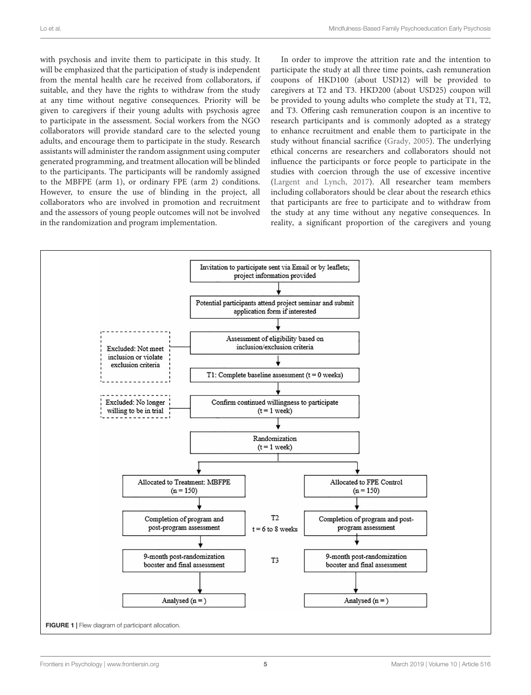with psychosis and invite them to participate in this study. It will be emphasized that the participation of study is independent from the mental health care he received from collaborators, if suitable, and they have the rights to withdraw from the study at any time without negative consequences. Priority will be given to caregivers if their young adults with psychosis agree to participate in the assessment. Social workers from the NGO collaborators will provide standard care to the selected young adults, and encourage them to participate in the study. Research assistants will administer the random assignment using computer generated programming, and treatment allocation will be blinded to the participants. The participants will be randomly assigned to the MBFPE (arm 1), or ordinary FPE (arm 2) conditions. However, to ensure the use of blinding in the project, all collaborators who are involved in promotion and recruitment and the assessors of young people outcomes will not be involved in the randomization and program implementation.

In order to improve the attrition rate and the intention to participate the study at all three time points, cash remuneration coupons of HKD100 (about USD12) will be provided to caregivers at T2 and T3. HKD200 (about USD25) coupon will be provided to young adults who complete the study at T1, T2, and T3. Offering cash remuneration coupon is an incentive to research participants and is commonly adopted as a strategy to enhance recruitment and enable them to participate in the study without financial sacrifice [\(Grady,](#page-12-23) [2005\)](#page-12-23). The underlying ethical concerns are researchers and collaborators should not influence the participants or force people to participate in the studies with coercion through the use of excessive incentive [\(Largent and Lynch,](#page-12-24) [2017\)](#page-12-24). All researcher team members including collaborators should be clear about the research ethics that participants are free to participate and to withdraw from the study at any time without any negative consequences. In reality, a significant proportion of the caregivers and young

<span id="page-5-0"></span>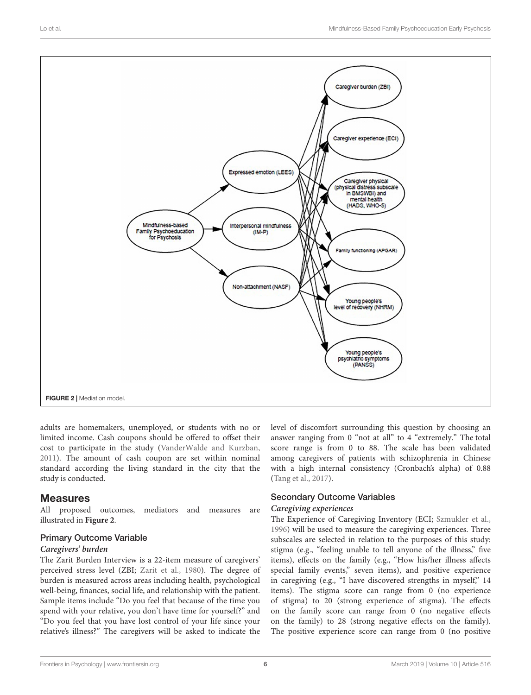

<span id="page-6-0"></span>adults are homemakers, unemployed, or students with no or limited income. Cash coupons should be offered to offset their cost to participate in the study [\(VanderWalde and Kurzban,](#page-13-10) [2011\)](#page-13-10). The amount of cash coupon are set within nominal standard according the living standard in the city that the study is conducted.

# Measures

All proposed outcomes, mediators and measures are illustrated in **[Figure 2](#page-6-0)**.

# Primary Outcome Variable

### **Caregivers' burden**

The Zarit Burden Interview is a 22-item measure of caregivers' perceived stress level (ZBI; [Zarit et al.,](#page-13-11) [1980\)](#page-13-11). The degree of burden is measured across areas including health, psychological well-being, finances, social life, and relationship with the patient. Sample items include "Do you feel that because of the time you spend with your relative, you don't have time for yourself?" and "Do you feel that you have lost control of your life since your relative's illness?" The caregivers will be asked to indicate the

level of discomfort surrounding this question by choosing an answer ranging from 0 "not at all" to 4 "extremely." The total score range is from 0 to 88. The scale has been validated among caregivers of patients with schizophrenia in Chinese with a high internal consistency (Cronbach's alpha) of 0.88 [\(Tang et al.,](#page-13-12) [2017\)](#page-13-12).

# Secondary Outcome Variables

### **Caregiving experiences**

The Experience of Caregiving Inventory (ECI; [Szmukler et al.,](#page-13-13) [1996\)](#page-13-13) will be used to measure the caregiving experiences. Three subscales are selected in relation to the purposes of this study: stigma (e.g., "feeling unable to tell anyone of the illness," five items), effects on the family (e.g., "How his/her illness affects special family events," seven items), and positive experience in caregiving (e.g., "I have discovered strengths in myself," 14 items). The stigma score can range from 0 (no experience of stigma) to 20 (strong experience of stigma). The effects on the family score can range from 0 (no negative effects on the family) to 28 (strong negative effects on the family). The positive experience score can range from 0 (no positive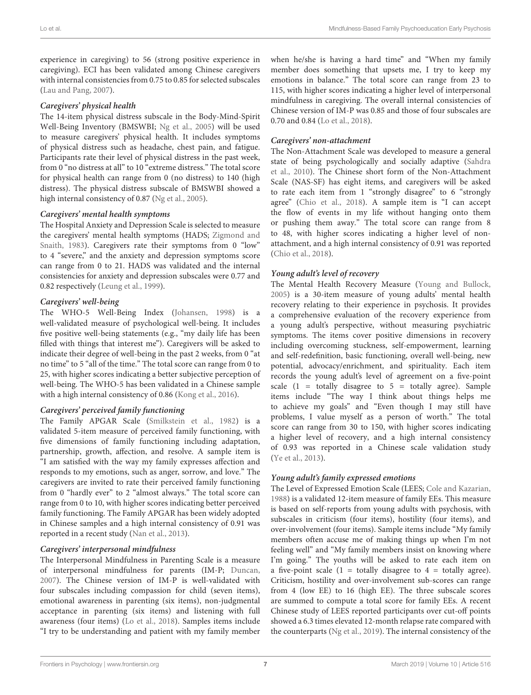experience in caregiving) to 56 (strong positive experience in caregiving). ECI has been validated among Chinese caregivers with internal consistencies from 0.75 to 0.85 for selected subscales [\(Lau and Pang,](#page-12-25) [2007\)](#page-12-25).

### **Caregivers' physical health**

The 14-item physical distress subscale in the Body-Mind-Spirit Well-Being Inventory (BMSWBI; [Ng et al.,](#page-12-26) [2005\)](#page-12-26) will be used to measure caregivers' physical health. It includes symptoms of physical distress such as headache, chest pain, and fatigue. Participants rate their level of physical distress in the past week, from 0 "no distress at all" to 10 "extreme distress." The total score for physical health can range from 0 (no distress) to 140 (high distress). The physical distress subscale of BMSWBI showed a high internal consistency of 0.87 [\(Ng et al.,](#page-12-26) [2005\)](#page-12-26).

### **Caregivers' mental health symptoms**

The Hospital Anxiety and Depression Scale is selected to measure the caregivers' mental health symptoms (HADS; [Zigmond and](#page-13-14) [Snaith,](#page-13-14) [1983\)](#page-13-14). Caregivers rate their symptoms from 0 "low" to 4 "severe," and the anxiety and depression symptoms score can range from 0 to 21. HADS was validated and the internal consistencies for anxiety and depression subscales were 0.77 and 0.82 respectively [\(Leung et al.,](#page-12-27) [1999\)](#page-12-27).

# **Caregivers' well-being**

The WHO-5 Well-Being Index [\(Johansen,](#page-12-28) [1998\)](#page-12-28) is a well-validated measure of psychological well-being. It includes five positive well-being statements (e.g., "my daily life has been filled with things that interest me"). Caregivers will be asked to indicate their degree of well-being in the past 2 weeks, from 0 "at no time" to 5 "all of the time." The total score can range from 0 to 25, with higher scores indicating a better subjective perception of well-being. The WHO-5 has been validated in a Chinese sample with a high internal consistency of 0.86 [\(Kong et al.,](#page-12-29) [2016\)](#page-12-29).

# **Caregivers' perceived family functioning**

The Family APGAR Scale [\(Smilkstein et al.,](#page-13-15) [1982\)](#page-13-15) is a validated 5-item measure of perceived family functioning, with five dimensions of family functioning including adaptation, partnership, growth, affection, and resolve. A sample item is "I am satisfied with the way my family expresses affection and responds to my emotions, such as anger, sorrow, and love." The caregivers are invited to rate their perceived family functioning from 0 "hardly ever" to 2 "almost always." The total score can range from 0 to 10, with higher scores indicating better perceived family functioning. The Family APGAR has been widely adopted in Chinese samples and a high internal consistency of 0.91 was reported in a recent study [\(Nan et al.,](#page-12-30) [2013\)](#page-12-30).

# **Caregivers' interpersonal mindfulness**

The Interpersonal Mindfulness in Parenting Scale is a measure of interpersonal mindfulness for parents (IM-P; [Duncan,](#page-12-31) [2007\)](#page-12-31). The Chinese version of IM-P is well-validated with four subscales including compassion for child (seven items), emotional awareness in parenting (six items), non-judgmental acceptance in parenting (six items) and listening with full awareness (four items) [\(Lo et al.,](#page-12-32) [2018\)](#page-12-32). Samples items include "I try to be understanding and patient with my family member

when he/she is having a hard time" and "When my family member does something that upsets me, I try to keep my emotions in balance." The total score can range from 23 to 115, with higher scores indicating a higher level of interpersonal mindfulness in caregiving. The overall internal consistencies of Chinese version of IM-P was 0.85 and those of four subscales are 0.70 and 0.84 [\(Lo et al.,](#page-12-32) [2018\)](#page-12-32).

### **Caregivers' non-attachment**

The Non-Attachment Scale was developed to measure a general state of being psychologically and socially adaptive [\(Sahdra](#page-13-9) [et al.,](#page-13-9) [2010\)](#page-13-9). The Chinese short form of the Non-Attachment Scale (NAS-SF) has eight items, and caregivers will be asked to rate each item from 1 "strongly disagree" to 6 "strongly agree" [\(Chio et al.,](#page-11-17) [2018\)](#page-11-17). A sample item is "I can accept the flow of events in my life without hanging onto them or pushing them away." The total score can range from 8 to 48, with higher scores indicating a higher level of nonattachment, and a high internal consistency of 0.91 was reported [\(Chio et al.,](#page-11-17) [2018\)](#page-11-17).

# **Young adult's level of recovery**

The Mental Health Recovery Measure [\(Young and Bullock,](#page-13-16) [2005\)](#page-13-16) is a 30-item measure of young adults' mental health recovery relating to their experience in psychosis. It provides a comprehensive evaluation of the recovery experience from a young adult's perspective, without measuring psychiatric symptoms. The items cover positive dimensions in recovery including overcoming stuckness, self-empowerment, learning and self-redefinition, basic functioning, overall well-being, new potential, advocacy/enrichment, and spirituality. Each item records the young adult's level of agreement on a five-point scale  $(1 = totally distance to 5 = totally agree)$ . Sample items include "The way I think about things helps me to achieve my goals" and "Even though I may still have problems, I value myself as a person of worth." The total score can range from 30 to 150, with higher scores indicating a higher level of recovery, and a high internal consistency of 0.93 was reported in a Chinese scale validation study [\(Ye et al.,](#page-13-17) [2013\)](#page-13-17).

# **Young adult's family expressed emotions**

The Level of Expressed Emotion Scale (LEES; [Cole and Kazarian,](#page-11-18) [1988\)](#page-11-18) is a validated 12-item measure of family EEs. This measure is based on self-reports from young adults with psychosis, with subscales in criticism (four items), hostility (four items), and over-involvement (four items). Sample items include "My family members often accuse me of making things up when I'm not feeling well" and "My family members insist on knowing where I'm going." The youths will be asked to rate each item on a five-point scale  $(1 =$  totally disagree to  $4 =$  totally agree). Criticism, hostility and over-involvement sub-scores can range from 4 (low EE) to 16 (high EE). The three subscale scores are summed to compute a total score for family EEs. A recent Chinese study of LEES reported participants over cut-off points showed a 6.3 times elevated 12-month relapse rate compared with the counterparts [\(Ng et al.,](#page-12-33) [2019\)](#page-12-33). The internal consistency of the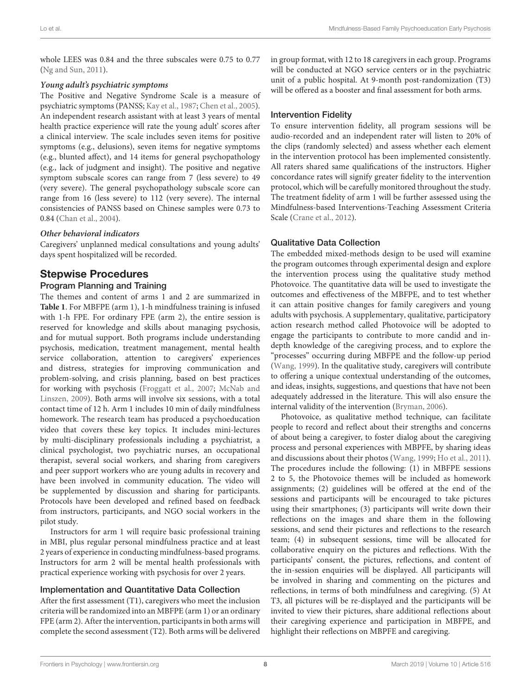whole LEES was 0.84 and the three subscales were 0.75 to 0.77 [\(Ng and Sun,](#page-12-34) [2011\)](#page-12-34).

### **Young adult's psychiatric symptoms**

The Positive and Negative Syndrome Scale is a measure of psychiatric symptoms (PANSS; [Kay et al.,](#page-12-35) [1987;](#page-12-35) [Chen et al.,](#page-11-19) [2005\)](#page-11-19). An independent research assistant with at least 3 years of mental health practice experience will rate the young adult' scores after a clinical interview. The scale includes seven items for positive symptoms (e.g., delusions), seven items for negative symptoms (e.g., blunted affect), and 14 items for general psychopathology (e.g., lack of judgment and insight). The positive and negative symptom subscale scores can range from 7 (less severe) to 49 (very severe). The general psychopathology subscale score can range from 16 (less severe) to 112 (very severe). The internal consistencies of PANSS based on Chinese samples were 0.73 to 0.84 [\(Chan et al.,](#page-11-20) [2004\)](#page-11-20).

### **Other behavioral indicators**

Caregivers' unplanned medical consultations and young adults' days spent hospitalized will be recorded.

# Stepwise Procedures

### Program Planning and Training

The themes and content of arms 1 and 2 are summarized in **[Table 1](#page-9-0)**. For MBFPE (arm 1), 1-h mindfulness training is infused with 1-h FPE. For ordinary FPE (arm 2), the entire session is reserved for knowledge and skills about managing psychosis, and for mutual support. Both programs include understanding psychosis, medication, treatment management, mental health service collaboration, attention to caregivers' experiences and distress, strategies for improving communication and problem-solving, and crisis planning, based on best practices for working with psychosis [\(Froggatt et al.,](#page-12-36) [2007;](#page-12-36) [McNab and](#page-12-7) [Linszen,](#page-12-7) [2009\)](#page-12-7). Both arms will involve six sessions, with a total contact time of 12 h. Arm 1 includes 10 min of daily mindfulness homework. The research team has produced a psychoeducation video that covers these key topics. It includes mini-lectures by multi-disciplinary professionals including a psychiatrist, a clinical psychologist, two psychiatric nurses, an occupational therapist, several social workers, and sharing from caregivers and peer support workers who are young adults in recovery and have been involved in community education. The video will be supplemented by discussion and sharing for participants. Protocols have been developed and refined based on feedback from instructors, participants, and NGO social workers in the pilot study.

Instructors for arm 1 will require basic professional training in MBI, plus regular personal mindfulness practice and at least 2 years of experience in conducting mindfulness-based programs. Instructors for arm 2 will be mental health professionals with practical experience working with psychosis for over 2 years.

# Implementation and Quantitative Data Collection

After the first assessment (T1), caregivers who meet the inclusion criteria will be randomized into an MBFPE (arm 1) or an ordinary FPE (arm 2). After the intervention, participants in both arms will complete the second assessment (T2). Both arms will be delivered

in group format, with 12 to 18 caregivers in each group. Programs will be conducted at NGO service centers or in the psychiatric unit of a public hospital. At 9-month post-randomization (T3) will be offered as a booster and final assessment for both arms.

### Intervention Fidelity

To ensure intervention fidelity, all program sessions will be audio-recorded and an independent rater will listen to 20% of the clips (randomly selected) and assess whether each element in the intervention protocol has been implemented consistently. All raters shared same qualifications of the instructors. Higher concordance rates will signify greater fidelity to the intervention protocol, which will be carefully monitored throughout the study. The treatment fidelity of arm 1 will be further assessed using the Mindfulness-based Interventions-Teaching Assessment Criteria Scale [\(Crane et al.,](#page-11-21) [2012\)](#page-11-21).

# Qualitative Data Collection

The embedded mixed-methods design to be used will examine the program outcomes through experimental design and explore the intervention process using the qualitative study method Photovoice. The quantitative data will be used to investigate the outcomes and effectiveness of the MBFPE, and to test whether it can attain positive changes for family caregivers and young adults with psychosis. A supplementary, qualitative, participatory action research method called Photovoice will be adopted to engage the participants to contribute to more candid and indepth knowledge of the caregiving process, and to explore the "processes" occurring during MBFPE and the follow-up period [\(Wang,](#page-13-18) [1999\)](#page-13-18). In the qualitative study, caregivers will contribute to offering a unique contextual understanding of the outcomes, and ideas, insights, suggestions, and questions that have not been adequately addressed in the literature. This will also ensure the internal validity of the intervention [\(Bryman,](#page-11-22) [2006\)](#page-11-22).

Photovoice, as qualitative method technique, can facilitate people to record and reflect about their strengths and concerns of about being a caregiver, to foster dialog about the caregiving process and personal experiences with MBPFE, by sharing ideas and discussions about their photos [\(Wang,](#page-13-18) [1999;](#page-13-18) [Ho et al.,](#page-12-37) [2011\)](#page-12-37). The procedures include the following: (1) in MBFPE sessions 2 to 5, the Photovoice themes will be included as homework assignments; (2) guidelines will be offered at the end of the sessions and participants will be encouraged to take pictures using their smartphones; (3) participants will write down their reflections on the images and share them in the following sessions, and send their pictures and reflections to the research team; (4) in subsequent sessions, time will be allocated for collaborative enquiry on the pictures and reflections. With the participants' consent, the pictures, reflections, and content of the in-session enquiries will be displayed. All participants will be involved in sharing and commenting on the pictures and reflections, in terms of both mindfulness and caregiving. (5) At T3, all pictures will be re-displayed and the participants will be invited to view their pictures, share additional reflections about their caregiving experience and participation in MBFPE, and highlight their reflections on MBPFE and caregiving.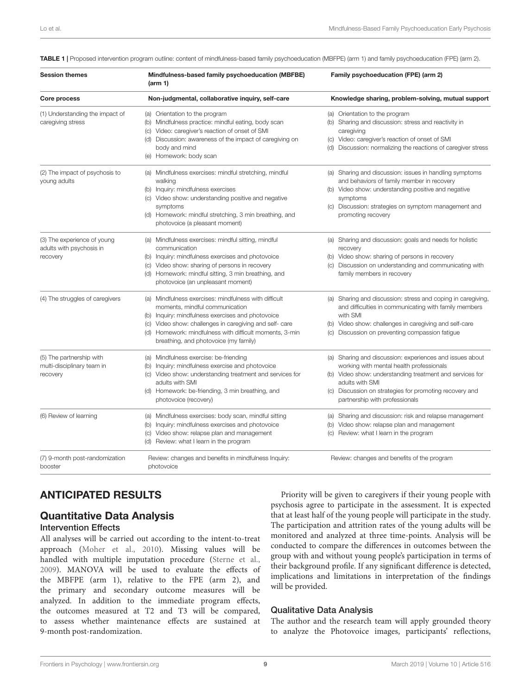| <b>Session themes</b>                                               | Mindfulness-based family psychoeducation (MBFBE)<br>(arm 1)                                                                                                                                                                                                                                                 | Family psychoeducation (FPE) (arm 2)                                                                                                                                                                                                                                             |
|---------------------------------------------------------------------|-------------------------------------------------------------------------------------------------------------------------------------------------------------------------------------------------------------------------------------------------------------------------------------------------------------|----------------------------------------------------------------------------------------------------------------------------------------------------------------------------------------------------------------------------------------------------------------------------------|
| Core process                                                        | Non-judgmental, collaborative inquiry, self-care                                                                                                                                                                                                                                                            | Knowledge sharing, problem-solving, mutual support                                                                                                                                                                                                                               |
| (1) Understanding the impact of<br>caregiving stress                | (a) Orientation to the program<br>(b) Mindfulness practice: mindful eating, body scan<br>(c) Video: caregiver's reaction of onset of SMI<br>(d) Discussion: awareness of the impact of caregiving on<br>body and mind<br>(e) Homework: body scan                                                            | (a) Orientation to the program<br>(b) Sharing and discussion: stress and reactivity in<br>caregiving<br>(c) Video: caregiver's reaction of onset of SMI<br>(d) Discussion: normalizing the reactions of caregiver stress                                                         |
| (2) The impact of psychosis to<br>young adults                      | (a) Mindfulness exercises: mindful stretching, mindful<br>walking<br>(b) Inquiry: mindfulness exercises<br>(c) Video show: understanding positive and negative<br>symptoms<br>(d) Homework: mindful stretching, 3 min breathing, and<br>photovoice (a pleasant moment)                                      | (a) Sharing and discussion: issues in handling symptoms<br>and behaviors of family member in recovery<br>(b) Video show: understanding positive and negative<br>symptoms<br>(c) Discussion: strategies on symptom management and<br>promoting recovery                           |
| (3) The experience of young<br>adults with psychosis in<br>recovery | (a) Mindfulness exercises: mindful sitting, mindful<br>communication<br>(b) Inquiry: mindfulness exercises and photovoice<br>(c) Video show: sharing of persons in recovery<br>(d) Homework: mindful sitting, 3 min breathing, and<br>photovoice (an unpleasant moment)                                     | (a) Sharing and discussion: goals and needs for holistic<br>recovery<br>(b) Video show: sharing of persons in recovery<br>(c) Discussion on understanding and communicating with<br>family members in recovery                                                                   |
| (4) The struggles of caregivers                                     | (a) Mindfulness exercises: mindfulness with difficult<br>moments, mindful communication<br>(b) Inquiry: mindfulness exercises and photovoice<br>(c) Video show: challenges in caregiving and self- care<br>(d) Homework: mindfulness with difficult moments, 3-min<br>breathing, and photovoice (my family) | (a) Sharing and discussion: stress and coping in caregiving<br>and difficulties in communicating with family members<br>with SMI<br>(b) Video show: challenges in caregiving and self-care<br>(c) Discussion on preventing compassion fatigue                                    |
| (5) The partnership with<br>multi-disciplinary team in<br>recovery  | (a) Mindfulness exercise: be-friending<br>(b) Inquiry: mindfulness exercise and photovoice<br>(c) Video show: understanding treatment and services for<br>adults with SMI<br>(d) Homework: be-friending, 3 min breathing, and<br>photovoice (recovery)                                                      | (a) Sharing and discussion: experiences and issues about<br>working with mental health professionals<br>(b) Video show: understanding treatment and services for<br>adults with SMI<br>(c) Discussion on strategies for promoting recovery and<br>partnership with professionals |
| (6) Review of learning                                              | (a) Mindfulness exercises: body scan, mindful sitting<br>(b) Inquiry: mindfulness exercises and photovoice<br>(c) Video show: relapse plan and management<br>(d) Review: what I learn in the program                                                                                                        | (a) Sharing and discussion: risk and relapse management<br>(b) Video show: relapse plan and management<br>(c) Review: what I learn in the program                                                                                                                                |
| (7) 9-month post-randomization<br>booster                           | Review: changes and benefits in mindfulness Inquiry:<br>photovoice                                                                                                                                                                                                                                          | Review: changes and benefits of the program                                                                                                                                                                                                                                      |

<span id="page-9-0"></span>TABLE 1 | Proposed intervention program outline: content of mindfulness-based family psychoeducation (MBFPE) (arm 1) and family psychoeducation (FPE) (arm 2).

# ANTICIPATED RESULTS

### Quantitative Data Analysis Intervention Effects

All analyses will be carried out according to the intent-to-treat approach [\(Moher et al.,](#page-12-38) [2010\)](#page-12-38). Missing values will be handled with multiple imputation procedure [\(Sterne et al.,](#page-13-19) [2009\)](#page-13-19). MANOVA will be used to evaluate the effects of the MBFPE (arm 1), relative to the FPE (arm 2), and the primary and secondary outcome measures will be analyzed. In addition to the immediate program effects, the outcomes measured at T2 and T3 will be compared, to assess whether maintenance effects are sustained at 9-month post-randomization.

Priority will be given to caregivers if their young people with psychosis agree to participate in the assessment. It is expected that at least half of the young people will participate in the study. The participation and attrition rates of the young adults will be monitored and analyzed at three time-points. Analysis will be conducted to compare the differences in outcomes between the group with and without young people's participation in terms of their background profile. If any significant difference is detected, implications and limitations in interpretation of the findings will be provided.

#### Qualitative Data Analysis

The author and the research team will apply grounded theory to analyze the Photovoice images, participants' reflections,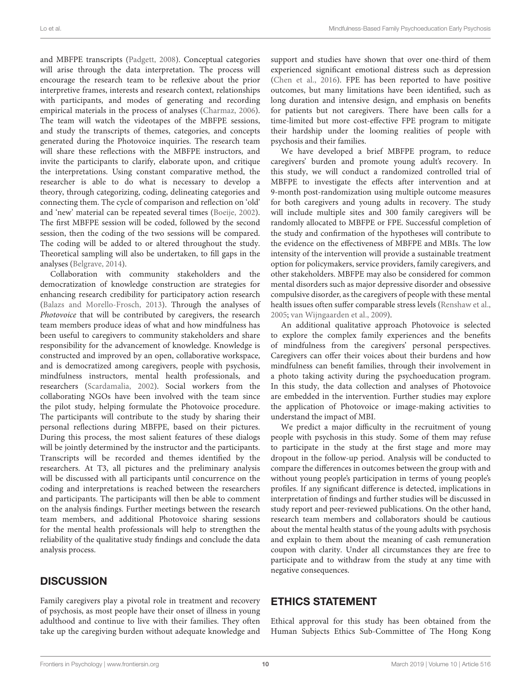and MBFPE transcripts [\(Padgett,](#page-12-39) [2008\)](#page-12-39). Conceptual categories will arise through the data interpretation. The process will encourage the research team to be reflexive about the prior interpretive frames, interests and research context, relationships with participants, and modes of generating and recording empirical materials in the process of analyses [\(Charmaz,](#page-11-23) [2006\)](#page-11-23). The team will watch the videotapes of the MBFPE sessions, and study the transcripts of themes, categories, and concepts generated during the Photovoice inquiries. The research team will share these reflections with the MBFPE instructors, and invite the participants to clarify, elaborate upon, and critique the interpretations. Using constant comparative method, the researcher is able to do what is necessary to develop a theory, through categorizing, coding, delineating categories and connecting them. The cycle of comparison and reflection on 'old' and 'new' material can be repeated several times [\(Boeije,](#page-11-24) [2002\)](#page-11-24). The first MBFPE session will be coded, followed by the second session, then the coding of the two sessions will be compared. The coding will be added to or altered throughout the study. Theoretical sampling will also be undertaken, to fill gaps in the analyses [\(Belgrave,](#page-11-25) [2014\)](#page-11-25).

Collaboration with community stakeholders and the democratization of knowledge construction are strategies for enhancing research credibility for participatory action research [\(Balazs and Morello-Frosch,](#page-11-26) [2013\)](#page-11-26). Through the analyses of Photovoice that will be contributed by caregivers, the research team members produce ideas of what and how mindfulness has been useful to caregivers to community stakeholders and share responsibility for the advancement of knowledge. Knowledge is constructed and improved by an open, collaborative workspace, and is democratized among caregivers, people with psychosis, mindfulness instructors, mental health professionals, and researchers [\(Scardamalia,](#page-13-20) [2002\)](#page-13-20). Social workers from the collaborating NGOs have been involved with the team since the pilot study, helping formulate the Photovoice procedure. The participants will contribute to the study by sharing their personal reflections during MBFPE, based on their pictures. During this process, the most salient features of these dialogs will be jointly determined by the instructor and the participants. Transcripts will be recorded and themes identified by the researchers. At T3, all pictures and the preliminary analysis will be discussed with all participants until concurrence on the coding and interpretations is reached between the researchers and participants. The participants will then be able to comment on the analysis findings. Further meetings between the research team members, and additional Photovoice sharing sessions for the mental health professionals will help to strengthen the reliability of the qualitative study findings and conclude the data analysis process.

# **DISCUSSION**

Family caregivers play a pivotal role in treatment and recovery of psychosis, as most people have their onset of illness in young adulthood and continue to live with their families. They often take up the caregiving burden without adequate knowledge and

support and studies have shown that over one-third of them experienced significant emotional distress such as depression [\(Chen et al.,](#page-11-27) [2016\)](#page-11-27). FPE has been reported to have positive outcomes, but many limitations have been identified, such as long duration and intensive design, and emphasis on benefits for patients but not caregivers. There have been calls for a time-limited but more cost-effective FPE program to mitigate their hardship under the looming realities of people with psychosis and their families.

We have developed a brief MBFPE program, to reduce caregivers' burden and promote young adult's recovery. In this study, we will conduct a randomized controlled trial of MBFPE to investigate the effects after intervention and at 9-month post-randomization using multiple outcome measures for both caregivers and young adults in recovery. The study will include multiple sites and 300 family caregivers will be randomly allocated to MBFPE or FPE. Successful completion of the study and confirmation of the hypotheses will contribute to the evidence on the effectiveness of MBFPE and MBIs. The low intensity of the intervention will provide a sustainable treatment option for policymakers, service providers, family caregivers, and other stakeholders. MBFPE may also be considered for common mental disorders such as major depressive disorder and obsessive compulsive disorder, as the caregivers of people with these mental health issues often suffer comparable stress levels [\(Renshaw et al.,](#page-12-40) [2005;](#page-12-40) [van Wijngaarden et al.,](#page-13-21) [2009\)](#page-13-21).

An additional qualitative approach Photovoice is selected to explore the complex family experiences and the benefits of mindfulness from the caregivers' personal perspectives. Caregivers can offer their voices about their burdens and how mindfulness can benefit families, through their involvement in a photo taking activity during the psychoeducation program. In this study, the data collection and analyses of Photovoice are embedded in the intervention. Further studies may explore the application of Photovoice or image-making activities to understand the impact of MBI.

We predict a major difficulty in the recruitment of young people with psychosis in this study. Some of them may refuse to participate in the study at the first stage and more may dropout in the follow-up period. Analysis will be conducted to compare the differences in outcomes between the group with and without young people's participation in terms of young people's profiles. If any significant difference is detected, implications in interpretation of findings and further studies will be discussed in study report and peer-reviewed publications. On the other hand, research team members and collaborators should be cautious about the mental health status of the young adults with psychosis and explain to them about the meaning of cash remuneration coupon with clarity. Under all circumstances they are free to participate and to withdraw from the study at any time with negative consequences.

# ETHICS STATEMENT

Ethical approval for this study has been obtained from the Human Subjects Ethics Sub-Committee of The Hong Kong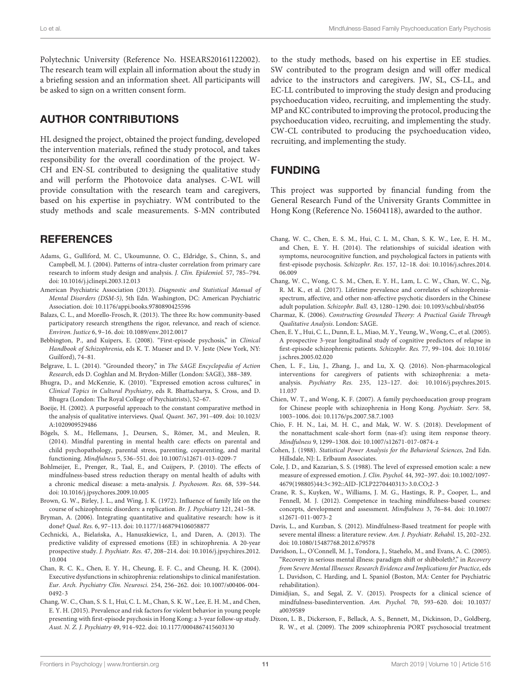Polytechnic University (Reference No. HSEARS20161122002). The research team will explain all information about the study in a briefing session and an information sheet. All participants will be asked to sign on a written consent form.

# AUTHOR CONTRIBUTIONS

HL designed the project, obtained the project funding, developed the intervention materials, refined the study protocol, and takes responsibility for the overall coordination of the project. W-CH and EN-SL contributed to designing the qualitative study and will perform the Photovoice data analyses. C-WL will provide consultation with the research team and caregivers, based on his expertise in psychiatry. WM contributed to the study methods and scale measurements. S-MN contributed

# **REFERENCES**

- <span id="page-11-15"></span>Adams, G., Gulliford, M. C., Ukoumunne, O. C., Eldridge, S., Chinn, S., and Campbell, M. J. (2004). Patterns of intra-cluster correlation from primary care research to inform study design and analysis. J. Clin. Epidemiol. 57, 785–794. [doi: 10.1016/j.jclinepi.2003.12.013](https://doi.org/10.1016/j.jclinepi.2003.12.013)
- <span id="page-11-16"></span>American Psychiatric Association (2013). Diagnostic and Statistical Manual of Mental Disorders (DSM-5), 5th Edn. Washington, DC: American Psychiatric Association. [doi: 10.1176/appi.books.9780890425596](https://doi.org/10.1176/appi.books.9780890425596)
- <span id="page-11-26"></span>Balazs, C. L., and Morello-Frosch, R. (2013). The three Rs: how community-based participatory research strengthens the rigor, relevance, and reach of science. Environ. Justice 6, 9–16. [doi: 10.1089/env.2012.0017](https://doi.org/10.1089/env.2012.0017)
- <span id="page-11-1"></span>Bebbington, P., and Kuipers, E. (2008). "First-episode psychosis," in Clinical Handbook of Schizophrenia, eds K. T. Mueser and D. V. Jeste (New York, NY: Guilford), 74–81.
- <span id="page-11-25"></span>Belgrave, L. L. (2014). "Grounded theory," in The SAGE Encyclopedia of Action Research, eds D. Coghlan and M. Brydon-Miller (London: SAGE), 388–389.
- <span id="page-11-6"></span>Bhugra, D., and McKenzie, K. (2010). "Expressed emotion across cultures," in Clinical Topics in Cultural Psychiatry, eds R. Bhattacharya, S. Cross, and D. Bhugra (London: The Royal College of Psychiatrists), 52–67.
- <span id="page-11-24"></span>Boeije, H. (2002). A purposeful approach to the constant comparative method in the analysis of qualitative interviews. Qual. Quant. 367, 391–409. [doi: 10.1023/](https://doi.org/10.1023/A:1020909529486) [A:1020909529486](https://doi.org/10.1023/A:1020909529486)
- <span id="page-11-11"></span>Bögels, S. M., Hellemans, J., Deursen, S., Römer, M., and Meulen, R. (2014). Mindful parenting in mental health care: effects on parental and child psychopathology, parental stress, parenting, coparenting, and marital functioning. Mindfulness 5, 536–551. [doi: 10.1007/s12671-013-0209-7](https://doi.org/10.1007/s12671-013-0209-7)
- <span id="page-11-10"></span>Bohlmeijer, E., Prenger, R., Taal, E., and Cuijpers, P. (2010). The effects of mindfulness-based stress reduction therapy on mental health of adults with a chronic medical disease: a meta-analysis. J. Psychosom. Res. 68, 539–544. [doi: 10.1016/j.jpsychores.2009.10.005](https://doi.org/10.1016/j.jpsychores.2009.10.005)
- <span id="page-11-4"></span>Brown, G. W., Birley, J. L., and Wing, J. K. (1972). Influence of family life on the course of schizophrenic disorders: a replication. Br. J. Psychiatry 121, 241–58.
- <span id="page-11-22"></span>Bryman, A. (2006). Integrating quantitative and qualitative research: how is it done? Qual. Res. 6, 97–113. [doi: 10.1177/1468794106058877](https://doi.org/10.1177/1468794106058877)
- <span id="page-11-5"></span>Cechnicki, A., Bielańska, A., Hanuszkiewicz, I., and Daren, A. (2013). The predictive validity of expressed emotions (EE) in schizophrenia. A 20-year prospective study. J. Psychiatr. Res. 47, 208–214. [doi: 10.1016/j.jpsychires.2012.](https://doi.org/10.1016/j.jpsychires.2012.10.004) [10.004](https://doi.org/10.1016/j.jpsychires.2012.10.004)
- <span id="page-11-20"></span>Chan, R. C. K., Chen, E. Y. H., Cheung, E. F. C., and Cheung, H. K. (2004). Executive dysfunctions in schizophrenia: relationships to clinical manifestation. Eur. Arch. Psychiatry Clin. Neurosci. 254, 256–262. [doi: 10.1007/s00406-004-](https://doi.org/10.1007/s00406-004-0492-3) [0492-3](https://doi.org/10.1007/s00406-004-0492-3)
- <span id="page-11-3"></span>Chang, W. C., Chan, S. S. I., Hui, C. L. M., Chan, S. K. W., Lee, E. H. M., and Chen, E. Y. H. (2015). Prevalence and risk factors for violent behavior in young people presenting with first-episode psychosis in Hong Kong: a 3-year follow-up study. Aust. N. Z. J. Psychiatry 49, 914–922. [doi: 10.1177/0004867415603130](https://doi.org/10.1177/0004867415603130)

to the study methods, based on his expertise in EE studies. SW contributed to the program design and will offer medical advice to the instructors and caregivers. JW, SL, CS-LL, and EC-LL contributed to improving the study design and producing psychoeducation video, recruiting, and implementing the study. MP and KC contributed to improving the protocol, producing the psychoeducation video, recruiting, and implementing the study. CW-CL contributed to producing the psychoeducation video, recruiting, and implementing the study.

# FUNDING

This project was supported by financial funding from the General Research Fund of the University Grants Committee in Hong Kong (Reference No. 15604118), awarded to the author.

- <span id="page-11-2"></span>Chang, W. C., Chen, E. S. M., Hui, C. L. M., Chan, S. K. W., Lee, E. H. M., and Chen, E. Y. H. (2014). The relationships of suicidal ideation with symptoms, neurocognitive function, and psychological factors in patients with first-episode psychosis. Schizophr. Res. 157, 12–18. [doi: 10.1016/j.schres.2014.](https://doi.org/10.1016/j.schres.2014.06.009) [06.009](https://doi.org/10.1016/j.schres.2014.06.009)
- <span id="page-11-0"></span>Chang, W. C., Wong, C. S. M., Chen, E. Y. H., Lam, L. C. W., Chan, W. C., Ng, R. M. K., et al. (2017). Lifetime prevalence and correlates of schizophreniaspectrum, affective, and other non-affective psychotic disorders in the Chinese adult population. Schizophr. Bull. 43, 1280–1290. [doi: 10.1093/schbul/sbx056](https://doi.org/10.1093/schbul/sbx056)
- <span id="page-11-23"></span>Charmaz, K. (2006). Constructing Grounded Theory: A Practical Guide Through Qualitative Analysis. London: SAGE.
- <span id="page-11-19"></span>Chen, E. Y., Hui, C. L., Dunn, E. L., Miao, M. Y., Yeung, W., Wong, C., et al. (2005). A prospective 3-year longitudinal study of cognitive predictors of relapse in first-episode schizophrenic patients. Schizophr. Res. 77, 99–104. [doi: 10.1016/](https://doi.org/10.1016/j.schres.2005.02.020) [j.schres.2005.02.020](https://doi.org/10.1016/j.schres.2005.02.020)
- <span id="page-11-27"></span>Chen, L. F., Liu, J., Zhang, J., and Lu, X. Q. (2016). Non-pharmacological interventions for caregivers of patients with schizophrenia: a metaanalysis. Psychiatry Res. 235, 123–127. [doi: 10.1016/j.psychres.2015.](https://doi.org/10.1016/j.psychres.2015.11.037) [11.037](https://doi.org/10.1016/j.psychres.2015.11.037)
- <span id="page-11-8"></span>Chien, W. T., and Wong, K. F. (2007). A family psychoeducation group program for Chinese people with schizophrenia in Hong Kong. Psychiatr. Serv. 58, 1003–1006. [doi: 10.1176/ps.2007.58.7.1003](https://doi.org/10.1176/ps.2007.58.7.1003)
- <span id="page-11-17"></span>Chio, F. H. N., Lai, M. H. C., and Mak, W. W. S. (2018). Development of the nonattachment scale-short form (nas-sf): using item response theory. Mindfulness 9, 1299–1308. [doi: 10.1007/s12671-017-0874-z](https://doi.org/10.1007/s12671-017-0874-z)
- <span id="page-11-14"></span>Cohen, J. (1988). Statistical Power Analysis for the Behavioral Sciences, 2nd Edn. Hillsdale, NJ: L. Erlbaum Associates.
- <span id="page-11-18"></span>Cole, J. D., and Kazarian, S. S. (1988). The level of expressed emotion scale: a new measure of expressed emotion. J. Clin. Psychol. 44, 392–397. [doi: 10.1002/1097-](https://doi.org/10.1002/1097-4679(198805)44:3<392::AID-JCLP2270440313>3.0.CO;2-3) [4679\(198805\)44:3<392::AID-JCLP2270440313>3.0.CO;2-3](https://doi.org/10.1002/1097-4679(198805)44:3<392::AID-JCLP2270440313>3.0.CO;2-3)
- <span id="page-11-21"></span>Crane, R. S., Kuyken, W., Williams, J. M. G., Hastings, R. P., Cooper, L., and Fennell, M. J. (2012). Competence in teaching mindfulness-based courses: concepts, development and assessment. Mindfulness 3, 76–84. [doi: 10.1007/](https://doi.org/10.1007/s12671-011-0073-2) [s12671-011-0073-2](https://doi.org/10.1007/s12671-011-0073-2)
- <span id="page-11-12"></span>Davis, L., and Kurzban, S. (2012). Mindfulness-Based treatment for people with severe mental illness: a literature review. Am. J. Psychiatr. Rehabil. 15, 202–232. [doi: 10.1080/15487768.2012.679578](https://doi.org/10.1080/15487768.2012.679578)
- <span id="page-11-9"></span>Davidson, L., O'Connell, M. J., Tondora, J., Staehelo, M., and Evans, A. C. (2005). "Recovery in serious mental illness: paradigm shift or shibboleth?," in Recovery from Severe Mental Illnesses: Research Evidence and Implications for Practice, eds L. Davidson, C. Harding, and L. Spaniol (Boston, MA: Center for Psychiatric rehabilitation).
- <span id="page-11-13"></span>Dimidjian, S., and Segal, Z. V. (2015). Prospects for a clinical science of mindfulness-basedintervention. Am. Psychol. 70, 593–620. [doi: 10.1037/](https://doi.org/10.1037/a0039589) [a0039589](https://doi.org/10.1037/a0039589)
- <span id="page-11-7"></span>Dixon, L. B., Dickerson, F., Bellack, A. S., Bennett, M., Dickinson, D., Goldberg, R. W., et al. (2009). The 2009 schizophrenia PORT psychosocial treatment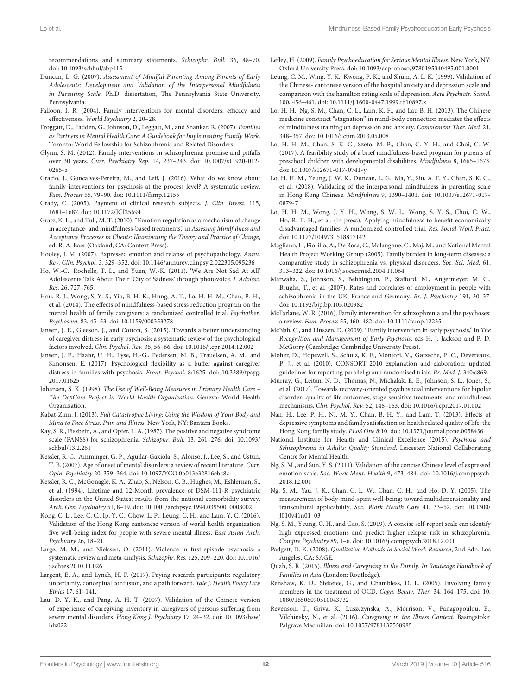recommendations and summary statements. Schizophr. Bull. 36, 48–70. [doi: 10.1093/schbul/sbp115](https://doi.org/10.1093/schbul/sbp115)

- <span id="page-12-31"></span>Duncan, L. G. (2007). Assessment of Mindful Parenting Among Parents of Early Adolescents: Development and Validation of the Interpersonal Mindfulness in Parenting Scale. Ph.D. dissertation, The Pennsylvania State University, Pennsylvania.
- <span id="page-12-10"></span>Falloon, I. R. (2004). Family interventions for mental disorders: efficacy and effectiveness. World Psychiatry 2, 20–28.
- <span id="page-12-36"></span>Froggatt, D., Fadden, G., Johnson, D., Leggatt, M., and Shankar, R. (2007). Families as Partners in Mental Health Care: A Guidebook for Implementing Family Work. Toronto: World Fellowship for Schizophrenia and Related Disorders.
- <span id="page-12-12"></span>Glynn, S. M. (2012). Family interventions in schizophrenia: promise and pitfalls over 30 years. Curr. Psychiatry Rep. 14, 237–243. [doi: 10.1007/s11920-012-](https://doi.org/10.1007/s11920-012-0265-z) [0265-z](https://doi.org/10.1007/s11920-012-0265-z)
- <span id="page-12-11"></span>Gracio, J., Goncalves-Pereira, M., and Leff, J. (2016). What do we know about family interventions for psychosis at the process level? A systematic review. Fam. Process 55, 79–90. [doi: 10.1111/famp.12155](https://doi.org/10.1111/famp.12155)
- <span id="page-12-23"></span>Grady, C. (2005). Payment of clinical research subjects. J. Clin. Invest. 115, 1681–1687. [doi: 10.1172/JCI25694](https://doi.org/10.1172/JCI25694)
- <span id="page-12-18"></span>Gratz, K. L., and Tull, M. T. (2010). "Emotion regulation as a mechanism of change in acceptance- and mindfulness-based treatments," in Assessing Mindfulness and Acceptance Processes in Clients: Illuminating the Theory and Practice of Change, ed. R. A. Baer (Oakland, CA: Context Press).
- <span id="page-12-6"></span>Hooley, J. M. (2007). Expressed emotion and relapse of psychopathology. Annu. Rev. Clin. Psychol. 3, 329–352. [doi: 10.1146/annurev.clinpsy.2.022305.095236](https://doi.org/10.1146/annurev.clinpsy.2.022305.095236)
- <span id="page-12-37"></span>Ho, W.-C., Rochelle, T. L., and Yuen, W.-K. (2011). 'We Are Not Sad At All' Adolescents Talk About Their 'City of Sadness' through photovoice. J. Adolesc. Res. 26, 727–765.
- <span id="page-12-16"></span>Hou, R. J., Wong, S. Y. S., Yip, B. H. K., Hung, A. T., Lo, H. H. M., Chan, P. H., et al. (2014). The effects of mindfulness-based stress reduction program on the mental health of family caregivers: a randomized controlled trial. Psychother. Psychosom. 83, 45–53. [doi: 10.1159/000353278](https://doi.org/10.1159/000353278)
- <span id="page-12-20"></span>Jansen, J. E., Gleeson, J., and Cotton, S. (2015). Towards a better understanding of caregiver distress in early psychosis: a systematic review of the psychological factors involved. Clin. Psychol. Rev. 35, 56–66. [doi: 10.1016/j.cpr.2014.12.002](https://doi.org/10.1016/j.cpr.2014.12.002)
- <span id="page-12-21"></span>Jansen, J. E., Haahr, U. H., Lyse, H.-G., Pedersen, M. B., Trauelsen, A. M., and Simonsen, E. (2017). Psychological flexibility as a buffer against caregiver distress in families with psychosis. Front. Psychol. 8:1625. [doi: 10.3389/fpsyg.](https://doi.org/10.3389/fpsyg.2017.01625) [2017.01625](https://doi.org/10.3389/fpsyg.2017.01625)
- <span id="page-12-28"></span>Johansen, S. K. (1998). The Use of Well-Being Measures in Primary Health Care – The DepCare Project in World Health Organization. Geneva: World Health Organization.
- <span id="page-12-14"></span>Kabat-Zinn, J. (2013). Full Catastrophe Living: Using the Wisdom of Your Body and Mind to Face Stress, Pain and Illness. New York, NY: Bantam Books.
- <span id="page-12-35"></span>Kay, S. R., Fiszbein, A., and Opfer, L. A. (1987). The positive and negative syndrome scale (PANSS) for schizophrenia. Schizophr. Bull. 13, 261–276. [doi: 10.1093/](https://doi.org/10.1093/schbul/13.2.261) [schbul/13.2.261](https://doi.org/10.1093/schbul/13.2.261)
- <span id="page-12-2"></span>Kessler, R. C., Amminger, G. P., Aguilar-Gaxiola, S., Alonso, J., Lee, S., and Ustun, T. B. (2007). Age of onset of mental disorders: a review of recent literature. Curr. Opin. Psychiatry 20, 359–364. [doi: 10.1097/YCO.0b013e32816ebc8c](https://doi.org/10.1097/YCO.0b013e32816ebc8c)
- <span id="page-12-1"></span>Kessler, R. C., McGonagle, K. A., Zhao, S., Nelson, C. B., Hughes, M., Eshlernan, S., et al. (1994). Lifetime and 12-Month prevalence of DSM-111-R psychiatric disorders in the United States: results from the national comorbidity survey. Arch. Gen. Psychiatry 51, 8–19. [doi: 10.1001/archpsyc.1994.03950010008002](https://doi.org/10.1001/archpsyc.1994.03950010008002)
- <span id="page-12-29"></span>Kong, C. L., Lee, C. C., Ip, Y. C., Chow, L. P., Leung, C. H., and Lam, Y. C. (2016). Validation of the Hong Kong cantonese version of world health organization five well-being index for people with severe mental illness. East Asian Arch. Psychiatry 26, 18–21.
- <span id="page-12-4"></span>Large, M. M., and Nielssen, O. (2011). Violence in first-episode psychosis: a systematic review and meta-analysis. Schizophr. Res. 125, 209–220. [doi: 10.1016/](https://doi.org/10.1016/j.schres.2010.11.026) [j.schres.2010.11.026](https://doi.org/10.1016/j.schres.2010.11.026)
- <span id="page-12-24"></span>Largent, E. A., and Lynch, H. F. (2017). Paying research participants: regulatory uncertainty, conceptual confusion, and a path forward. Yale J. Health Policy Law Ethics 17, 61–141.
- <span id="page-12-25"></span>Lau, D. Y. K., and Pang, A. H. T. (2007). Validation of the Chinese version of experience of caregiving inventory in caregivers of persons suffering from severe mental disorders. Hong Kong J. Psychiatry 17, 24–32. [doi: 10.1093/hsw/](https://doi.org/10.1093/hsw/hlx022) [hlx022](https://doi.org/10.1093/hsw/hlx022)
- <span id="page-12-0"></span>Lefley, H. (2009). Family Psychoeducation for Serious Mental Illness. New York, NY: Oxford University Press. [doi: 10.1093/acprof:oso/9780195340495.001.0001](https://doi.org/10.1093/acprof:oso/9780195340495.001.0001)
- <span id="page-12-27"></span>Leung, C. M., Wing, Y. K., Kwong, P. K., and Shum, A. L. K. (1999). Validation of the Chinese- cantonese version of the hospital anxiety and depression scale and comparison with the hamilton rating scale of depression. Acta Psychiatr. Scand. 100, 456–461. [doi: 10.1111/j.1600-0447.1999.tb10897.x](https://doi.org/10.1111/j.1600-0447.1999.tb10897.x)
- <span id="page-12-19"></span>Lo, H. H., Ng, S. M., Chan, C. L., Lam, K. F., and Lau B. H. (2013). The Chinese medicine construct "stagnation" in mind-body connection mediates the effects of mindfulness training on depression and anxiety. Complement Ther. Med. 21, 348–357. [doi: 10.1016/j.ctim.2013.05.008](https://doi.org/10.1016/j.ctim.2013.05.008)
- <span id="page-12-22"></span>Lo, H. H. M., Chan, S. K. C., Szeto, M. P., Chan, C. Y. H., and Choi, C. W. (2017). A feasibility study of a brief mindfulness-based program for parents of preschool children with developmental disabilities. Mindfulness 8, 1665–1673. [doi: 10.1007/s12671-017-0741-y](https://doi.org/10.1007/s12671-017-0741-y)
- <span id="page-12-32"></span>Lo, H. H. M., Yeung, J. W. K., Duncan, L. G., Ma, Y., Siu, A. F. Y., Chan, S. K. C., et al. (2018). Validating of the interpersonal mindfulness in parenting scale in Hong Kong Chinese. Mindfulness 9, 1390–1401. [doi: 10.1007/s12671-017-](https://doi.org/10.1007/s12671-017-0879-7) [0879-7](https://doi.org/10.1007/s12671-017-0879-7)
- Lo, H. H. M., Wong, J. Y. H., Wong, S. W. L., Wong, S. Y. S., Choi, C. W., Ho, R. T. H., et al. (in press). Applying mindfulness to benefit economically disadvantaged families: A randomized controlled trial. Res. Social Work Pract. [doi: 10.1177/1049731518817142](https://doi.org/10.1177/1049731518817142)
- <span id="page-12-13"></span>Magliano, L., Fiorillo, A., De Rosa, C., Malangone, C., Maj, M., and National Mental Health Project Working Group (2005). Family burden in long-term diseases: a comparative study in schizophrenia vs. physical disorders. Soc. Sci. Med. 61, 313–322. [doi: 10.1016/j.socscimed.2004.11.064](https://doi.org/10.1016/j.socscimed.2004.11.064)
- <span id="page-12-3"></span>Marwaha, S., Johnson, S., Bebbington, P., Stafford, M., Angermeyer, M. C., Brugha, T., et al. (2007). Rates and correlates of employment in people with schizophrenia in the UK, France and Germany. Br. J. Psychiatry 191, 30–37. [doi: 10.1192/bjp.bp.105.020982](https://doi.org/10.1192/bjp.bp.105.020982)
- <span id="page-12-9"></span>McFarlane, W. R. (2016). Family intervention for schizophrenia and the psychoses: a review. Fam. Process 55, 460–482. [doi: 10.1111/famp.12235](https://doi.org/10.1111/famp.12235)
- <span id="page-12-7"></span>McNab, C., and Linszen, D. (2009). "Family intervention in early psychosis," in The Recognition and Management of Early Psychosis, eds H. J. Jackson and P. D. McGorry (Cambridge: Cambridge University Press).
- <span id="page-12-38"></span>Moher, D., Hopewell, S., Schulz, K. F., Montori, V., Gøtzsche, P. C., Devereaux, P. J., et al. (2010). CONSORT 2010 explanation and elaboration: updated guidelines for reporting parallel group randomised trials. Br. Med. J. 340:c869.
- <span id="page-12-17"></span>Murray, G., Leitan, N. D., Thomas, N., Michalak, E. E., Johnson, S. L., Jones, S., et al. (2017). Towards recovery-oriented psychosocial interventions for bipolar disorder: quality of life outcomes, stage-sensitive treatments, and mindfulness mechanisms. Clin. Psychol. Rev. 52, 148–163. [doi: 10.1016/j.cpr.2017.01.002](https://doi.org/10.1016/j.cpr.2017.01.002)
- <span id="page-12-30"></span>Nan, H., Lee, P. H., Ni, M. Y., Chan, B. H. Y., and Lam, T. (2013). Effects of depressive symptoms and family satisfaction on health related quality of life: the Hong Kong family study. PLoS One 8:10. [doi: 10.1371/journal.pone.0058436](https://doi.org/10.1371/journal.pone.0058436)
- <span id="page-12-8"></span>National Institute for Health and Clinical Excellence (2015). Psychosis and Schizophrenia in Adults: Quality Standard. Leicester: National Collaborating Centre for Mental Health.
- <span id="page-12-34"></span>Ng, S. M., and Sun, Y. S. (2011). Validation of the concise Chinese level of expressed emotion scale. Soc. Work Ment. Health 9, 473–484. [doi: 10.1016/j.comppsych.](https://doi.org/10.1016/j.comppsych.2018.12.001) [2018.12.001](https://doi.org/10.1016/j.comppsych.2018.12.001)
- <span id="page-12-26"></span>Ng, S. M., Yau, J. K., Chan, C. L. W., Chan, C. H., and Ho, D. Y. (2005). The measurement of body-mind-spirit well-being: toward multidimensionality and transcultural applicability. Soc. Work Health Care 41, 33–52. [doi: 10.1300/](https://doi.org/10.1300/J010v41n01_03) [J010v41n01\\_03](https://doi.org/10.1300/J010v41n01_03)
- <span id="page-12-33"></span>Ng, S. M., Yeung, C. H., and Gao, S. (2019). A concise self-report scale can identify high expressed emotions and predict higher relapse risk in schizophrenia. Compre Psychiatry 89, 1–6. [doi: 10.1016/j.comppsych.2018.12.001](https://doi.org/10.1016/j.comppsych.2018.12.001)
- <span id="page-12-39"></span>Padgett, D. K. (2008). Qualitative Methods in Social Work Research, 2nd Edn. Los Angeles, CA: SAGE.
- <span id="page-12-15"></span>Quah, S. R. (2015). Illness and Caregiving in the Family. In Routledge Handbook of Families in Asia (London: Routledge).
- <span id="page-12-40"></span>Renshaw, K. D., Steketee, G., and Chambless, D. L. (2005). Involving family members in the treatment of OCD. Cogn. Behav. Ther. 34, 164–175. [doi: 10.](https://doi.org/10.1080/16506070510043732) [1080/16506070510043732](https://doi.org/10.1080/16506070510043732)
- <span id="page-12-5"></span>Revenson, T., Griva, K., Luszczynska, A., Morrison, V., Panagopoulou, E., Vilchinsky, N., et al. (2016). Caregiving in the Illness Context. Basingstoke: Palgrave Macmillan. [doi: 10.1057/9781137558985](https://doi.org/10.1057/9781137558985)